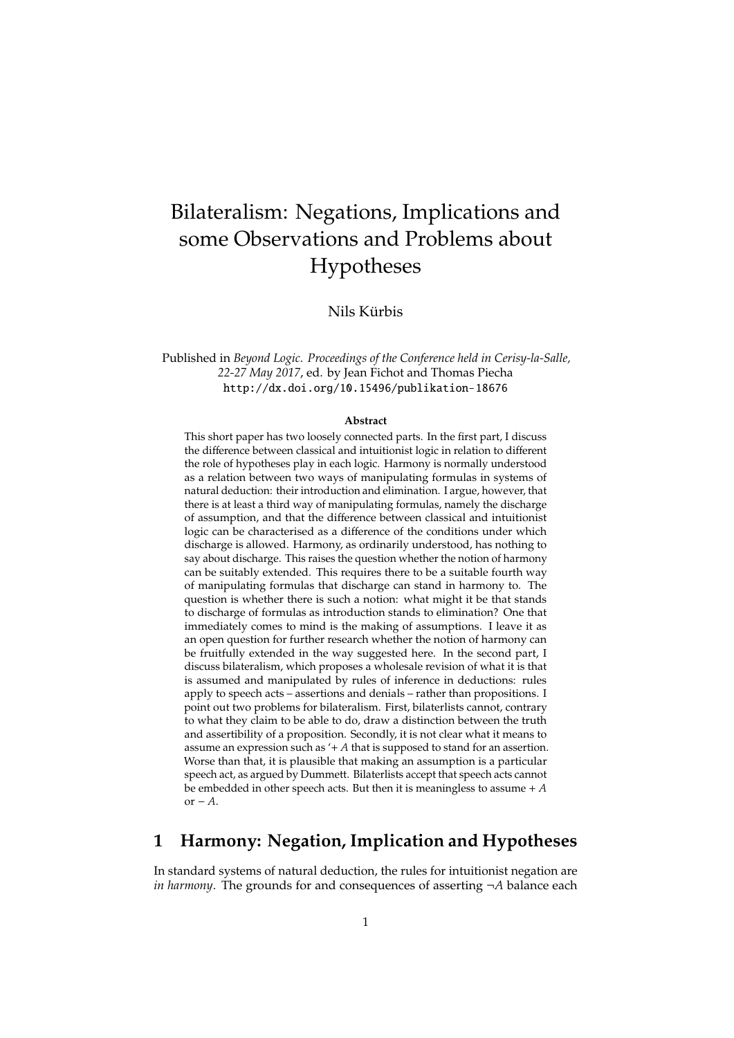# Bilateralism: Negations, Implications and some Observations and Problems about Hypotheses

Nils Kürbis

Published in *Beyond Logic. Proceedings of the Conference held in Cerisy-la-Salle, 22-27 May 2017*, ed. by Jean Fichot and Thomas Piecha http://dx.doi.org/10.15496/publikation-18676

#### **Abstract**

This short paper has two loosely connected parts. In the first part, I discuss the difference between classical and intuitionist logic in relation to different the role of hypotheses play in each logic. Harmony is normally understood as a relation between two ways of manipulating formulas in systems of natural deduction: their introduction and elimination. I argue, however, that there is at least a third way of manipulating formulas, namely the discharge of assumption, and that the difference between classical and intuitionist logic can be characterised as a difference of the conditions under which discharge is allowed. Harmony, as ordinarily understood, has nothing to say about discharge. This raises the question whether the notion of harmony can be suitably extended. This requires there to be a suitable fourth way of manipulating formulas that discharge can stand in harmony to. The question is whether there is such a notion: what might it be that stands to discharge of formulas as introduction stands to elimination? One that immediately comes to mind is the making of assumptions. I leave it as an open question for further research whether the notion of harmony can be fruitfully extended in the way suggested here. In the second part, I discuss bilateralism, which proposes a wholesale revision of what it is that is assumed and manipulated by rules of inference in deductions: rules apply to speech acts – assertions and denials – rather than propositions. I point out two problems for bilateralism. First, bilaterlists cannot, contrary to what they claim to be able to do, draw a distinction between the truth and assertibility of a proposition. Secondly, it is not clear what it means to assume an expression such as '+ *A* that is supposed to stand for an assertion. Worse than that, it is plausible that making an assumption is a particular speech act, as argued by Dummett. Bilaterlists accept that speech acts cannot be embedded in other speech acts. But then it is meaningless to assume + *A* or − *A*.

## **1 Harmony: Negation, Implication and Hypotheses**

In standard systems of natural deduction, the rules for intuitionist negation are *in harmony*. The grounds for and consequences of asserting ¬*A* balance each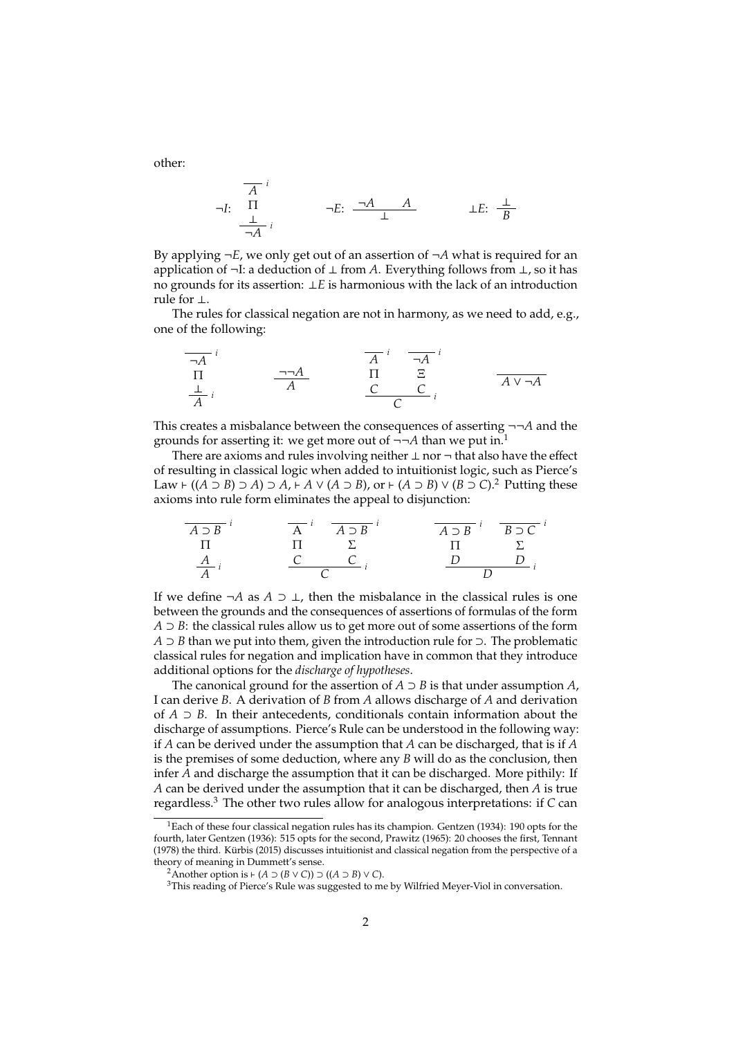$$
\neg I: \begin{array}{ccc}\n\overline{A} & i \\
\Pi & & \\
\frac{\perp}{\neg A} & i\n\end{array}\n\qquad\n\begin{array}{ccc}\n\neg E: & \frac{\neg A & A}{\perp} & \\
\downarrow E: & \frac{\perp}{B}\n\end{array}
$$

By applying ¬*E*, we only get out of an assertion of ¬*A* what is required for an application of ¬I: a deduction of ⊥ from *A*. Everything follows from ⊥, so it has no grounds for its assertion: ⊥*E* is harmonious with the lack of an introduction rule for ⊥.

The rules for classical negation are not in harmony, as we need to add, e.g., one of the following:

$$
\frac{\overline{A}^{i}}{\Pi} \qquad \frac{\overline{A}^{i}}{\overline{A}} \qquad \frac{\overline{A}^{i}}{\Pi} \qquad \frac{\overline{A}}{\overline{C}} \qquad \frac{\overline{A}}{\overline{C}} \qquad \frac{\overline{A}}{\overline{C}} \qquad \frac{\overline{A}^{i}}{\overline{A}^{i}} \qquad \frac{\overline{A}^{i}}{\overline{A}^{i}} \qquad \frac{\overline{A}^{i}}{\overline{A}^{i}} \qquad \frac{\overline{A}^{i}}{\overline{A}^{i}} \qquad \frac{\overline{A}^{i}}{\overline{A}^{i}} \qquad \frac{\overline{A}^{i}}{\overline{A}^{i}} \qquad \frac{\overline{A}^{i}}{\overline{A}^{i}} \qquad \frac{\overline{A}^{i}}{\overline{A}^{i}} \qquad \frac{\overline{A}^{i}}{\overline{A}^{i}} \qquad \frac{\overline{A}^{i}}{\overline{A}^{i}} \qquad \frac{\overline{A}^{i}}{\overline{A}^{i}} \qquad \frac{\overline{A}^{i}}{\overline{A}^{i}} \qquad \frac{\overline{A}^{i}}{\overline{A}^{i}} \qquad \frac{\overline{A}^{i}}{\overline{A}^{i}} \qquad \frac{\overline{A}^{i}}{\overline{A}^{i}} \qquad \frac{\overline{A}^{i}}{\overline{A}^{i}} \qquad \frac{\overline{A}^{i}}{\overline{A}^{i}} \qquad \frac{\overline{A}^{i}}{\overline{A}^{i}} \qquad \frac{\overline{A}^{i}}{\overline{A}^{i}} \qquad \frac{\overline{A}^{i}}{\overline{A}^{i}} \qquad \frac{\overline{A}^{i}}{\overline{A}^{i}} \qquad \frac{\overline{A}^{i}}{\overline{A}^{i}} \qquad \frac{\overline{A}^{i}}{\overline{A}^{i}} \qquad \frac{\overline{A}^{i}}{\overline{A}^{i}} \qquad \frac{\overline{A}^{i}}{\overline{A}^{i}} \qquad \frac{\overline{A}^{i}}{\overline{A}^{i}} \qquad \frac{\overline{A}^{i}}{\overline{A}^{i}} \qquad \frac{\overline{A}^{i}}{\overline{A}^{i}} \qquad \frac{\overline{A}^{i}}
$$

This creates a misbalance between the consequences of asserting ¬¬*A* and the grounds for asserting it: we get more out of ¬¬*A* than we put in.<sup>1</sup>

There are axioms and rules involving neither  $\perp$  nor  $\neg$  that also have the effect of resulting in classical logic when added to intuitionist logic, such as Pierce's  $Law$   $\vdash$  ((*A* ⊃ *B*) ⊃ *A*) ⊃ *A*,  $\vdash$  *A* ∨ (*A* ⊃ *B*), or  $\vdash$  (*A* ⊃ *B*) ∨ (*B* ⊃ *C*).<sup>2</sup> Putting these axioms into rule form eliminates the appeal to disjunction:

| $\overline{A \supset B}$ | $\overline{A}$ | $\overline{A \supset B}$ | $\overline{A \supset B}$ | $\overline{B \supset C}$ |
|--------------------------|----------------|--------------------------|--------------------------|--------------------------|
| $\Pi$                    | $\Pi$          | $\Sigma$                 | $\Pi$                    | $\Sigma$                 |
| $\overline{A}$           | $\overline{C}$ | $\overline{C}$           | $\overline{D}$           | $\overline{D}$           |

If we define  $\neg A$  as  $A \supset \bot$ , then the misbalance in the classical rules is one between the grounds and the consequences of assertions of formulas of the form *A* ⊃ *B*: the classical rules allow us to get more out of some assertions of the form *A* ⊃ *B* than we put into them, given the introduction rule for ⊃. The problematic classical rules for negation and implication have in common that they introduce additional options for the *discharge of hypotheses*.

The canonical ground for the assertion of  $A \supset B$  is that under assumption  $A$ , I can derive *B*. A derivation of *B* from *A* allows discharge of *A* and derivation of *A* ⊃ *B*. In their antecedents, conditionals contain information about the discharge of assumptions. Pierce's Rule can be understood in the following way: if *A* can be derived under the assumption that *A* can be discharged, that is if *A* is the premises of some deduction, where any *B* will do as the conclusion, then infer *A* and discharge the assumption that it can be discharged. More pithily: If *A* can be derived under the assumption that it can be discharged, then *A* is true regardless.<sup>3</sup> The other two rules allow for analogous interpretations: if *C* can

other:

<sup>&</sup>lt;sup>1</sup>Each of these four classical negation rules has its champion. Gentzen (1934): 190 opts for the fourth, later Gentzen (1936): 515 opts for the second, Prawitz (1965): 20 chooses the first, Tennant (1978) the third. Kurbis (2015) discusses intuitionist and classical negation from the perspective of a ¨ theory of meaning in Dummett's sense.

<sup>&</sup>lt;sup>2</sup>Another option is  $\vdash$  (*A* ⊃ (*B* ∨ *C*)) ⊃ ((*A* ⊃ *B*) ∨ *C*).

<sup>&</sup>lt;sup>3</sup>This reading of Pierce's Rule was suggested to me by Wilfried Meyer-Viol in conversation.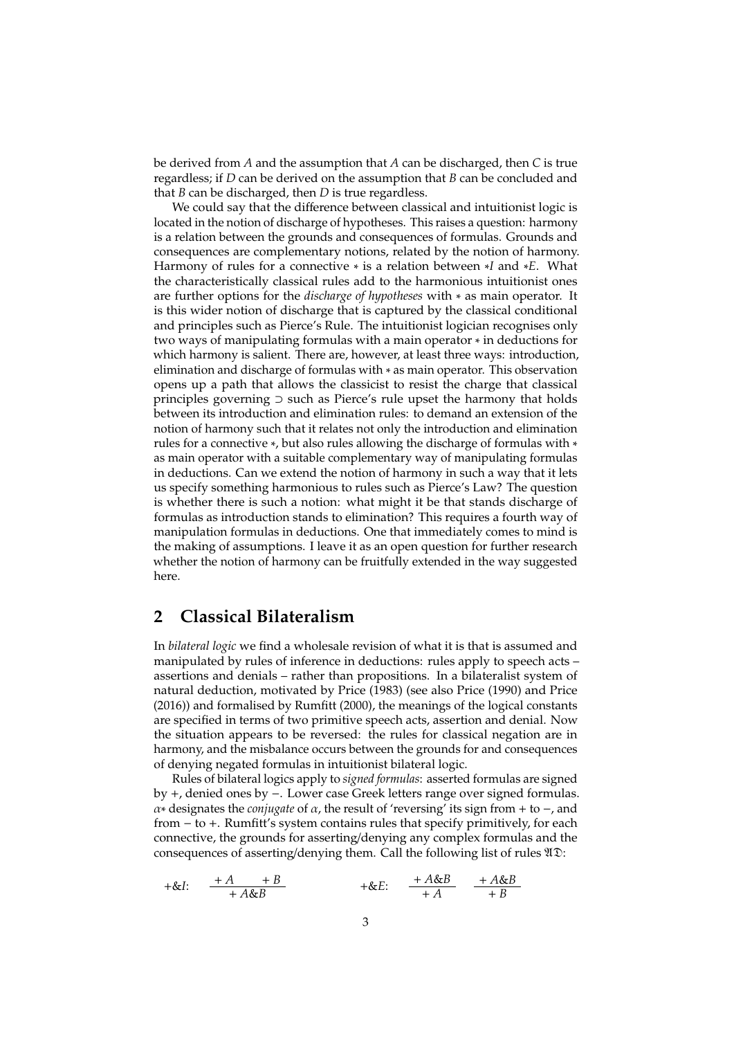be derived from *A* and the assumption that *A* can be discharged, then *C* is true regardless; if *D* can be derived on the assumption that *B* can be concluded and that *B* can be discharged, then *D* is true regardless.

We could say that the difference between classical and intuitionist logic is located in the notion of discharge of hypotheses. This raises a question: harmony is a relation between the grounds and consequences of formulas. Grounds and consequences are complementary notions, related by the notion of harmony. Harmony of rules for a connective ∗ is a relation between ∗*I* and ∗*E*. What the characteristically classical rules add to the harmonious intuitionist ones are further options for the *discharge of hypotheses* with ∗ as main operator. It is this wider notion of discharge that is captured by the classical conditional and principles such as Pierce's Rule. The intuitionist logician recognises only two ways of manipulating formulas with a main operator ∗ in deductions for which harmony is salient. There are, however, at least three ways: introduction, elimination and discharge of formulas with ∗ as main operator. This observation opens up a path that allows the classicist to resist the charge that classical principles governing ⊃ such as Pierce's rule upset the harmony that holds between its introduction and elimination rules: to demand an extension of the notion of harmony such that it relates not only the introduction and elimination rules for a connective ∗, but also rules allowing the discharge of formulas with ∗ as main operator with a suitable complementary way of manipulating formulas in deductions. Can we extend the notion of harmony in such a way that it lets us specify something harmonious to rules such as Pierce's Law? The question is whether there is such a notion: what might it be that stands discharge of formulas as introduction stands to elimination? This requires a fourth way of manipulation formulas in deductions. One that immediately comes to mind is the making of assumptions. I leave it as an open question for further research whether the notion of harmony can be fruitfully extended in the way suggested here.

### **2 Classical Bilateralism**

In *bilateral logic* we find a wholesale revision of what it is that is assumed and manipulated by rules of inference in deductions: rules apply to speech acts – assertions and denials – rather than propositions. In a bilateralist system of natural deduction, motivated by Price (1983) (see also Price (1990) and Price (2016)) and formalised by Rumfitt (2000), the meanings of the logical constants are specified in terms of two primitive speech acts, assertion and denial. Now the situation appears to be reversed: the rules for classical negation are in harmony, and the misbalance occurs between the grounds for and consequences of denying negated formulas in intuitionist bilateral logic.

Rules of bilateral logics apply to *signed formulas*: asserted formulas are signed by +, denied ones by −. Lower case Greek letters range over signed formulas. α∗ designates the *conjugate* of α, the result of 'reversing' its sign from + to −, and from − to +. Rumfitt's system contains rules that specify primitively, for each connective, the grounds for asserting/denying any complex formulas and the consequences of asserting/denying them. Call the following list of rules  $\mathfrak{VD}$ :

$$
+\&I: \quad \frac{+A}{+A\&B} \quad +\&E: \quad \frac{+A\&B}{+A} \quad \frac{+A\&B}{+B}
$$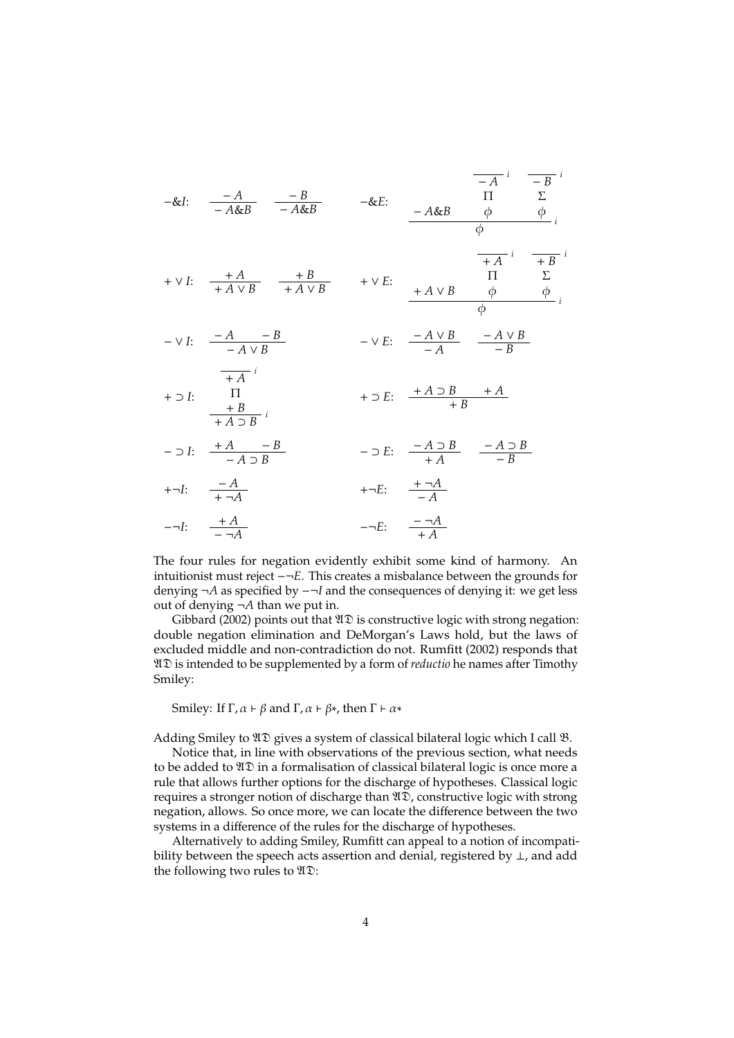| -&I: $\frac{-A}{-A\&B}$ $\frac{-B}{-A\&B}$ $\frac{-\&E}{-A\&B}$ $\frac{\Pi}{\phi}$ $\frac{\Sigma}{\phi}$                                                                                                        |                                                       | $\overline{-A}^{i}$ $\overline{-B}^{i}$                                      |  |
|-----------------------------------------------------------------------------------------------------------------------------------------------------------------------------------------------------------------|-------------------------------------------------------|------------------------------------------------------------------------------|--|
| $+\vee I: \quad \frac{+A}{+A\vee B} \quad \frac{+B}{+A\vee B} \qquad +\vee E: \quad \begin{array}{c} \Pi \qquad \Sigma \\ +A\vee B \qquad \phi \qquad \qquad \phi \\ \varphi \qquad \qquad \end{array} \quad ,$ |                                                       | $\overline{+A}^{i}$ $\overline{+B}^{i}$                                      |  |
| $-\vee I: \quad \frac{-A}{-A\vee B}$                                                                                                                                                                            |                                                       | $-\vee E$ : $\frac{-A \vee B}{-A}$ $\frac{-A \vee B}{-B}$                    |  |
| $\frac{1}{\sqrt{1 + A}}$ i<br>$+ \supset I: \qquad \frac{\Pi}{+B}$<br>$+ A \supset B$                                                                                                                           | $+ \supset E: \quad \frac{+A \supset B}{+B} \quad +A$ |                                                                              |  |
| $- \supset I: \quad \frac{+A}{-A \supset B}$                                                                                                                                                                    |                                                       | $- \supset E: \quad \frac{-A \supset B}{+ A} \quad \frac{-A \supset B}{- B}$ |  |
| $+\neg I: \quad \frac{-A}{+ \neg A}$                                                                                                                                                                            | $+-E: \quad \frac{+\neg A}{-4}$                       |                                                                              |  |
| $-\neg I: \quad \frac{+A}{-\neg A}$                                                                                                                                                                             | $-\neg E: \quad \frac{-\neg A}{+A}$                   |                                                                              |  |

The four rules for negation evidently exhibit some kind of harmony. An intuitionist must reject −¬*E*. This creates a misbalance between the grounds for denying ¬*A* as specified by −¬*I* and the consequences of denying it: we get less out of denying ¬*A* than we put in.

Gibbard (2002) points out that  $\mathfrak{UD}$  is constructive logic with strong negation: double negation elimination and DeMorgan's Laws hold, but the laws of excluded middle and non-contradiction do not. Rumfitt (2002) responds that AD is intended to be supplemented by a form of *reductio* he names after Timothy Smiley:

Smiley: If Γ,  $\alpha \vdash \beta$  and Γ,  $\alpha \vdash \beta *$ , then  $\Gamma \vdash \alpha *$ 

Adding Smiley to  $\mathfrak{AD}$  gives a system of classical bilateral logic which I call  $\mathfrak{B}$ .

Notice that, in line with observations of the previous section, what needs to be added to  $\mathfrak{UD}$  in a formalisation of classical bilateral logic is once more a rule that allows further options for the discharge of hypotheses. Classical logic requires a stronger notion of discharge than  $\mathfrak{UD}$ , constructive logic with strong negation, allows. So once more, we can locate the difference between the two systems in a difference of the rules for the discharge of hypotheses.

Alternatively to adding Smiley, Rumfitt can appeal to a notion of incompatibility between the speech acts assertion and denial, registered by ⊥, and add the following two rules to  $\mathfrak{UD}$ :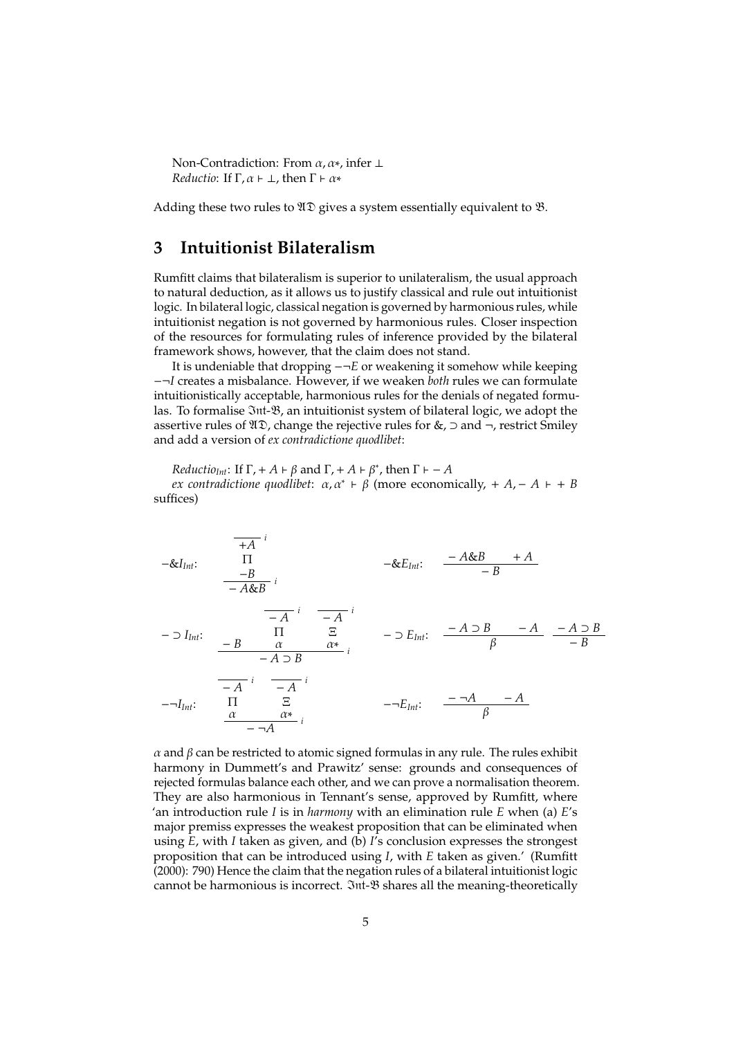Non-Contradiction: From  $\alpha$ ,  $\alpha$ <sup>\*</sup>, infer  $\perp$ *Reductio*: If  $\Gamma$ ,  $\alpha \vdash \bot$ , then  $\Gamma \vdash \alpha^*$ 

Adding these two rules to  $\mathfrak{VD}$  gives a system essentially equivalent to  $\mathfrak{B}$ .

#### **3 Intuitionist Bilateralism**

Rumfitt claims that bilateralism is superior to unilateralism, the usual approach to natural deduction, as it allows us to justify classical and rule out intuitionist logic. In bilateral logic, classical negation is governed by harmonious rules, while intuitionist negation is not governed by harmonious rules. Closer inspection of the resources for formulating rules of inference provided by the bilateral framework shows, however, that the claim does not stand.

It is undeniable that dropping −¬*E* or weakening it somehow while keeping −¬*I* creates a misbalance. However, if we weaken *both* rules we can formulate intuitionistically acceptable, harmonious rules for the denials of negated formulas. To formalise  $\Im$ nt- $\mathcal{B}$ , an intuitionist system of bilateral logic, we adopt the assertive rules of  $\mathfrak{UD}$ , change the rejective rules for &,  $\supset$  and  $\neg$ , restrict Smiley and add a version of *ex contradictione quodlibet*:

*Reductio*<sub>*Int*</sub>: If  $\Gamma$ , + *A*  $\vdash \beta$  and  $\Gamma$ , + *A*  $\vdash \beta^*$ , then  $\Gamma \vdash -A$ 

*ex contradictione quodlibet:*  $\alpha, \alpha^* \vdash \beta$  (more economically, +  $A$ , −  $A$  + +  $B$ suffices)

−&*IInt*: *i* +*A* Π −*B i* − *A*&*B* −&*EInt*: − *A*&*B* + *A* − *B* − ⊃ *IInt*: − *B i* − *A* Π α *i* − *A* Ξ α∗ *i* − *A* ⊃ *B* − ⊃ *EInt*: − *A* ⊃ *B* − *A* β − *A* ⊃ *B* − *B* −¬*IInt*: *i* − *A* Π α *i* − *A* Ξ α∗ *i* − ¬*A* −¬*EInt*: − ¬*A* − *A* β

 $\alpha$  and  $\beta$  can be restricted to atomic signed formulas in any rule. The rules exhibit harmony in Dummett's and Prawitz' sense: grounds and consequences of rejected formulas balance each other, and we can prove a normalisation theorem. They are also harmonious in Tennant's sense, approved by Rumfitt, where 'an introduction rule *I* is in *harmony* with an elimination rule *E* when (a) *E*'s major premiss expresses the weakest proposition that can be eliminated when using *E*, with *I* taken as given, and (b) *I*'s conclusion expresses the strongest proposition that can be introduced using *I*, with *E* taken as given.' (Rumfitt (2000): 790) Hence the claim that the negation rules of a bilateral intuitionist logic cannot be harmonious is incorrect.  $\mathfrak{Int}\text{-}\mathfrak{B}$  shares all the meaning-theoretically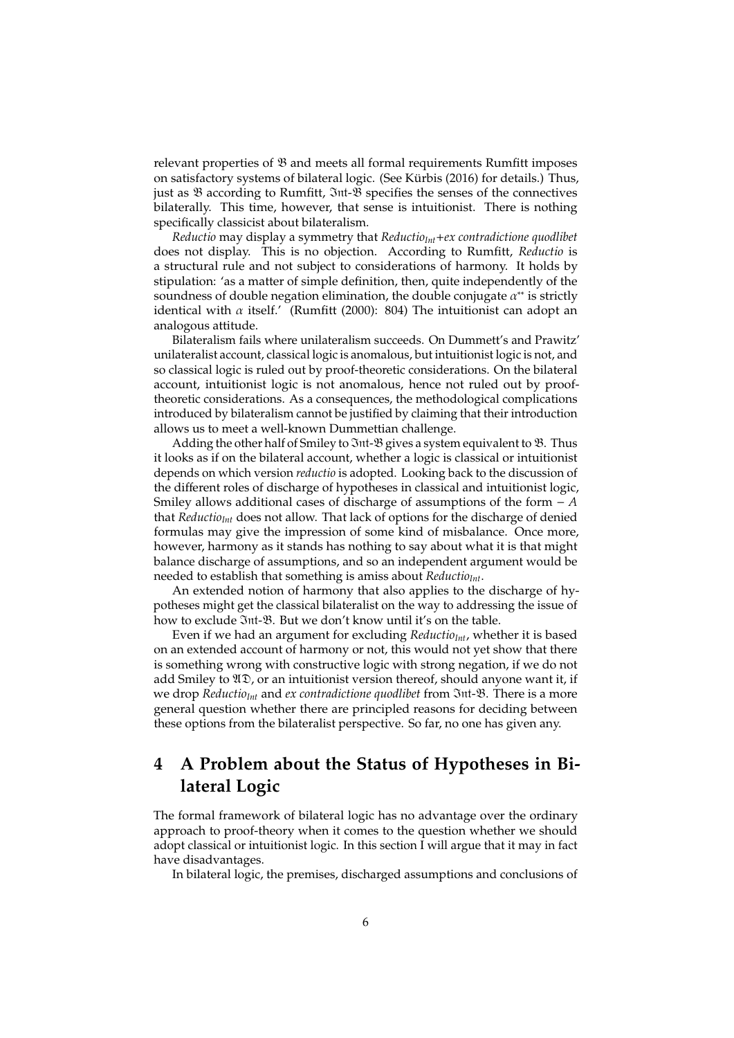relevant properties of  $\mathfrak B$  and meets all formal requirements Rumfitt imposes on satisfactory systems of bilateral logic. (See Kürbis (2016) for details.) Thus, just as B according to Rumfitt, Int-B specifies the senses of the connectives bilaterally. This time, however, that sense is intuitionist. There is nothing specifically classicist about bilateralism.

*Reductio* may display a symmetry that *ReductioInt*+*ex contradictione quodlibet* does not display. This is no objection. According to Rumfitt, *Reductio* is a structural rule and not subject to considerations of harmony. It holds by stipulation: 'as a matter of simple definition, then, quite independently of the soundness of double negation elimination, the double conjugate  $\alpha^{**}$  is strictly identical with  $\alpha$  itself.' (Rumfitt (2000): 804) The intuitionist can adopt an analogous attitude.

Bilateralism fails where unilateralism succeeds. On Dummett's and Prawitz' unilateralist account, classical logic is anomalous, but intuitionist logic is not, and so classical logic is ruled out by proof-theoretic considerations. On the bilateral account, intuitionist logic is not anomalous, hence not ruled out by prooftheoretic considerations. As a consequences, the methodological complications introduced by bilateralism cannot be justified by claiming that their introduction allows us to meet a well-known Dummettian challenge.

Adding the other half of Smiley to 3nt- $\mathcal B$  gives a system equivalent to  $\mathcal B$ . Thus it looks as if on the bilateral account, whether a logic is classical or intuitionist depends on which version *reductio* is adopted. Looking back to the discussion of the different roles of discharge of hypotheses in classical and intuitionist logic, Smiley allows additional cases of discharge of assumptions of the form − *A* that *ReductioInt* does not allow. That lack of options for the discharge of denied formulas may give the impression of some kind of misbalance. Once more, however, harmony as it stands has nothing to say about what it is that might balance discharge of assumptions, and so an independent argument would be needed to establish that something is amiss about *ReductioInt*.

An extended notion of harmony that also applies to the discharge of hypotheses might get the classical bilateralist on the way to addressing the issue of how to exclude  $\mathfrak{Int}\text{-}\mathfrak{B}$ . But we don't know until it's on the table.

Even if we had an argument for excluding *ReductioInt*, whether it is based on an extended account of harmony or not, this would not yet show that there is something wrong with constructive logic with strong negation, if we do not add Smiley to  $\mathfrak{AD}$ , or an intuitionist version thereof, should anyone want it, if we drop *ReductioInt* and *ex contradictione quodlibet* from Int-B. There is a more general question whether there are principled reasons for deciding between these options from the bilateralist perspective. So far, no one has given any.

# **4 A Problem about the Status of Hypotheses in Bilateral Logic**

The formal framework of bilateral logic has no advantage over the ordinary approach to proof-theory when it comes to the question whether we should adopt classical or intuitionist logic. In this section I will argue that it may in fact have disadvantages.

In bilateral logic, the premises, discharged assumptions and conclusions of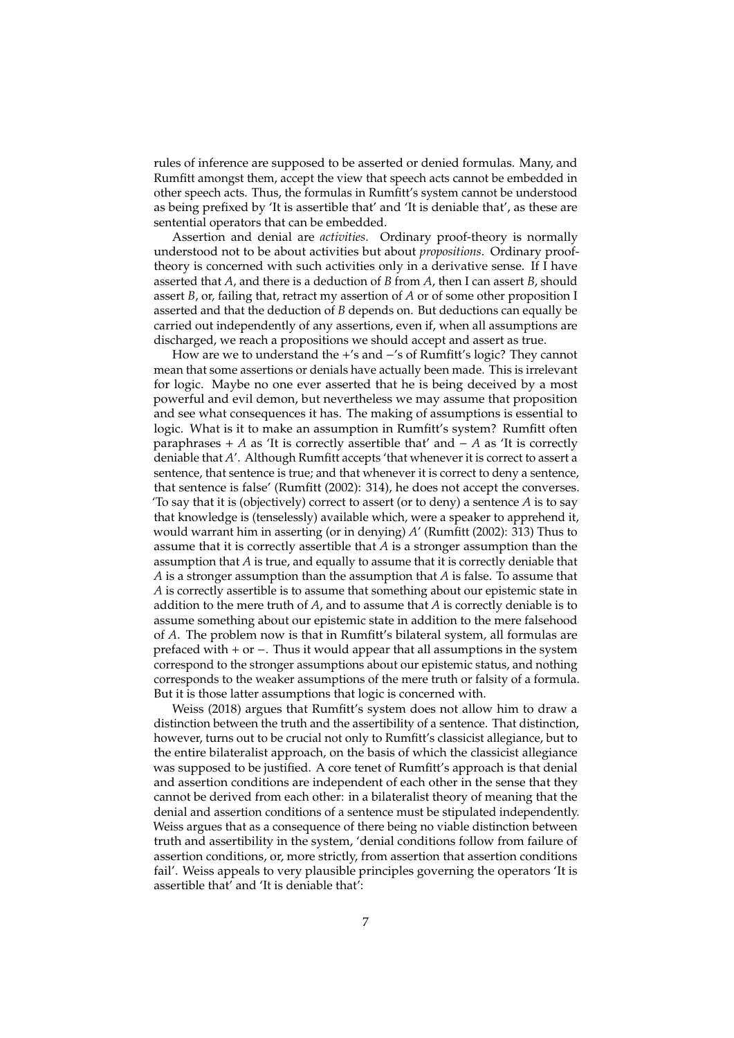rules of inference are supposed to be asserted or denied formulas. Many, and Rumfitt amongst them, accept the view that speech acts cannot be embedded in other speech acts. Thus, the formulas in Rumfitt's system cannot be understood as being prefixed by 'It is assertible that' and 'It is deniable that', as these are sentential operators that can be embedded.

Assertion and denial are *activities*. Ordinary proof-theory is normally understood not to be about activities but about *propositions*. Ordinary prooftheory is concerned with such activities only in a derivative sense. If I have asserted that *A*, and there is a deduction of *B* from *A*, then I can assert *B*, should assert *B*, or, failing that, retract my assertion of *A* or of some other proposition I asserted and that the deduction of *B* depends on. But deductions can equally be carried out independently of any assertions, even if, when all assumptions are discharged, we reach a propositions we should accept and assert as true.

How are we to understand the +'s and −'s of Rumfitt's logic? They cannot mean that some assertions or denials have actually been made. This is irrelevant for logic. Maybe no one ever asserted that he is being deceived by a most powerful and evil demon, but nevertheless we may assume that proposition and see what consequences it has. The making of assumptions is essential to logic. What is it to make an assumption in Rumfitt's system? Rumfitt often paraphrases + *A* as 'It is correctly assertible that' and − *A* as 'It is correctly deniable that *A*'. Although Rumfitt accepts 'that whenever it is correct to assert a sentence, that sentence is true; and that whenever it is correct to deny a sentence, that sentence is false' (Rumfitt (2002): 314), he does not accept the converses. 'To say that it is (objectively) correct to assert (or to deny) a sentence *A* is to say that knowledge is (tenselessly) available which, were a speaker to apprehend it, would warrant him in asserting (or in denying) *A*' (Rumfitt (2002): 313) Thus to assume that it is correctly assertible that *A* is a stronger assumption than the assumption that *A* is true, and equally to assume that it is correctly deniable that *A* is a stronger assumption than the assumption that *A* is false. To assume that *A* is correctly assertible is to assume that something about our epistemic state in addition to the mere truth of *A*, and to assume that *A* is correctly deniable is to assume something about our epistemic state in addition to the mere falsehood of *A*. The problem now is that in Rumfitt's bilateral system, all formulas are prefaced with + or −. Thus it would appear that all assumptions in the system correspond to the stronger assumptions about our epistemic status, and nothing corresponds to the weaker assumptions of the mere truth or falsity of a formula. But it is those latter assumptions that logic is concerned with.

Weiss (2018) argues that Rumfitt's system does not allow him to draw a distinction between the truth and the assertibility of a sentence. That distinction, however, turns out to be crucial not only to Rumfitt's classicist allegiance, but to the entire bilateralist approach, on the basis of which the classicist allegiance was supposed to be justified. A core tenet of Rumfitt's approach is that denial and assertion conditions are independent of each other in the sense that they cannot be derived from each other: in a bilateralist theory of meaning that the denial and assertion conditions of a sentence must be stipulated independently. Weiss argues that as a consequence of there being no viable distinction between truth and assertibility in the system, 'denial conditions follow from failure of assertion conditions, or, more strictly, from assertion that assertion conditions fail'. Weiss appeals to very plausible principles governing the operators 'It is assertible that' and 'It is deniable that':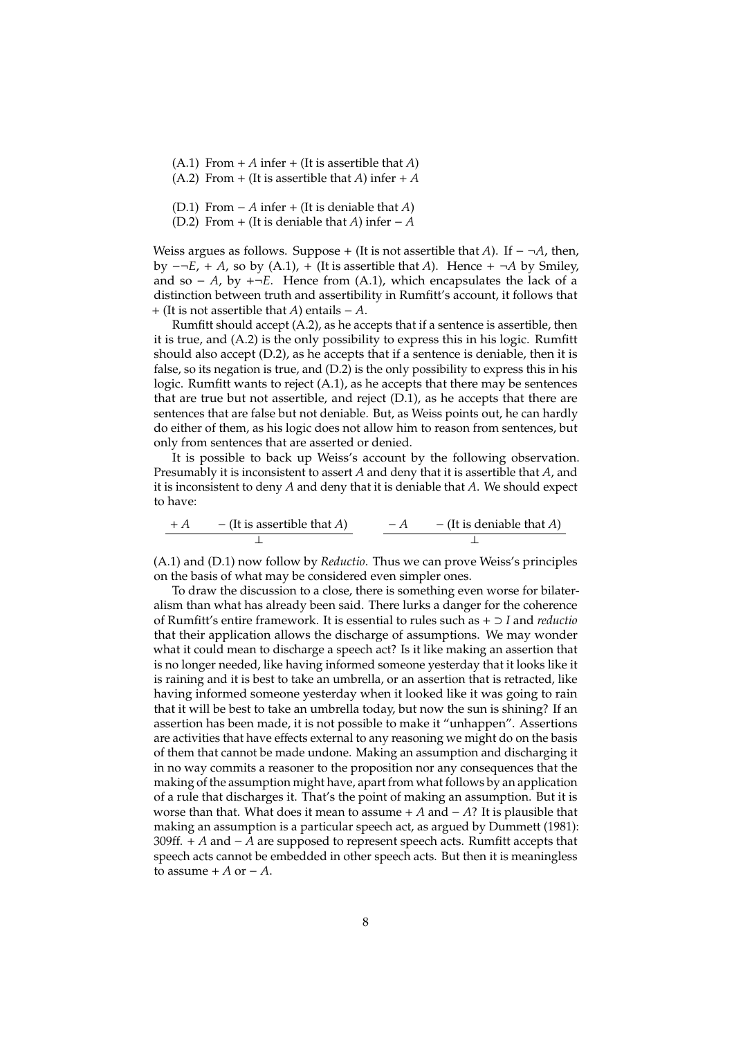- (A.1) From  $+A$  infer  $+(It)$  is assertible that *A*)
- (A.2) From + (It is assertible that *A*) infer + *A*
- (D.1) From − *A* infer + (It is deniable that *A*)
- (D.2) From + (It is deniable that *A*) infer  $-A$

Weiss argues as follows. Suppose + (It is not assertible that *A*). If  $-\neg A$ , then, by −¬*E*, + *A*, so by (A.1), + (It is assertible that *A*). Hence + ¬*A* by Smiley, and so − *A*, by +¬*E*. Hence from (A.1), which encapsulates the lack of a distinction between truth and assertibility in Rumfitt's account, it follows that + (It is not assertible that *A*) entails − *A*.

Rumfitt should accept (A.2), as he accepts that if a sentence is assertible, then it is true, and (A.2) is the only possibility to express this in his logic. Rumfitt should also accept (D.2), as he accepts that if a sentence is deniable, then it is false, so its negation is true, and (D.2) is the only possibility to express this in his logic. Rumfitt wants to reject (A.1), as he accepts that there may be sentences that are true but not assertible, and reject (D.1), as he accepts that there are sentences that are false but not deniable. But, as Weiss points out, he can hardly do either of them, as his logic does not allow him to reason from sentences, but only from sentences that are asserted or denied.

It is possible to back up Weiss's account by the following observation. Presumably it is inconsistent to assert *A* and deny that it is assertible that *A*, and it is inconsistent to deny *A* and deny that it is deniable that *A*. We should expect to have:

$$
+ A \qquad - (It is a is the A)
$$
 
$$
- A \qquad - (It is deniable that A)
$$

(A.1) and (D.1) now follow by *Reductio*. Thus we can prove Weiss's principles on the basis of what may be considered even simpler ones.

To draw the discussion to a close, there is something even worse for bilateralism than what has already been said. There lurks a danger for the coherence of Rumfitt's entire framework. It is essential to rules such as + ⊃ *I* and *reductio* that their application allows the discharge of assumptions. We may wonder what it could mean to discharge a speech act? Is it like making an assertion that is no longer needed, like having informed someone yesterday that it looks like it is raining and it is best to take an umbrella, or an assertion that is retracted, like having informed someone yesterday when it looked like it was going to rain that it will be best to take an umbrella today, but now the sun is shining? If an assertion has been made, it is not possible to make it "unhappen". Assertions are activities that have effects external to any reasoning we might do on the basis of them that cannot be made undone. Making an assumption and discharging it in no way commits a reasoner to the proposition nor any consequences that the making of the assumption might have, apart from what follows by an application of a rule that discharges it. That's the point of making an assumption. But it is worse than that. What does it mean to assume  $+A$  and  $-A$ ? It is plausible that making an assumption is a particular speech act, as argued by Dummett (1981): 309ff. + *A* and − *A* are supposed to represent speech acts. Rumfitt accepts that speech acts cannot be embedded in other speech acts. But then it is meaningless to assume  $+A$  or  $-A$ .